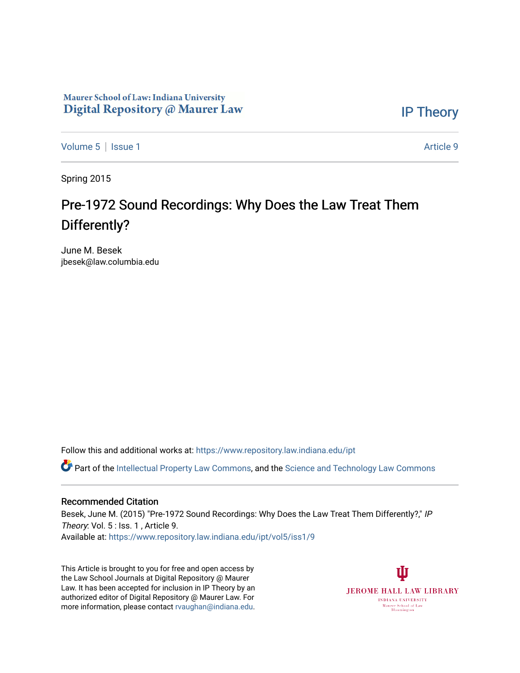# Maurer School of Law: Indiana University Digital Repository @ Maurer Law

[IP Theory](https://www.repository.law.indiana.edu/ipt) 

[Volume 5](https://www.repository.law.indiana.edu/ipt/vol5) | [Issue 1](https://www.repository.law.indiana.edu/ipt/vol5/iss1) Article 9

Spring 2015

# Pre-1972 Sound Recordings: Why Does the Law Treat Them Differently?

June M. Besek jbesek@law.columbia.edu

Follow this and additional works at: [https://www.repository.law.indiana.edu/ipt](https://www.repository.law.indiana.edu/ipt?utm_source=www.repository.law.indiana.edu%2Fipt%2Fvol5%2Fiss1%2F9&utm_medium=PDF&utm_campaign=PDFCoverPages) 

**C** Part of the [Intellectual Property Law Commons,](http://network.bepress.com/hgg/discipline/896?utm_source=www.repository.law.indiana.edu%2Fipt%2Fvol5%2Fiss1%2F9&utm_medium=PDF&utm_campaign=PDFCoverPages) and the Science and Technology Law Commons

#### Recommended Citation

Besek, June M. (2015) "Pre-1972 Sound Recordings: Why Does the Law Treat Them Differently?," IP Theory: Vol. 5 : Iss. 1, Article 9. Available at: [https://www.repository.law.indiana.edu/ipt/vol5/iss1/9](https://www.repository.law.indiana.edu/ipt/vol5/iss1/9?utm_source=www.repository.law.indiana.edu%2Fipt%2Fvol5%2Fiss1%2F9&utm_medium=PDF&utm_campaign=PDFCoverPages) 

This Article is brought to you for free and open access by the Law School Journals at Digital Repository @ Maurer Law. It has been accepted for inclusion in IP Theory by an authorized editor of Digital Repository @ Maurer Law. For more information, please contact [rvaughan@indiana.edu](mailto:rvaughan@indiana.edu).

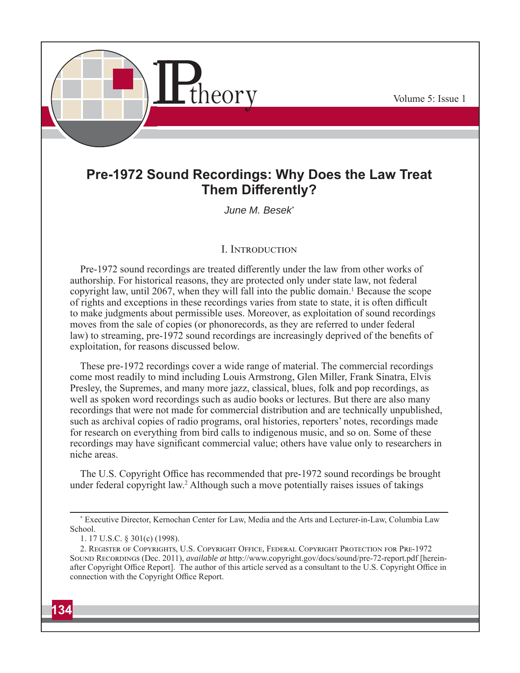

# **Pre-1972 Sound Recordings: Why Does the Law Treat Them Differently?**

*June M. Besek\**

# **I. INTRODUCTION**

Pre-1972 sound recordings are treated differently under the law from other works of authorship. For historical reasons, they are protected only under state law, not federal copyright law, until 2067, when they will fall into the public domain.<sup>1</sup> Because the scope of rights and exceptions in these recordings varies from state to state, it is often difficult to make judgments about permissible uses. Moreover, as exploitation of sound recordings moves from the sale of copies (or phonorecords, as they are referred to under federal law) to streaming, pre-1972 sound recordings are increasingly deprived of the benefits of exploitation, for reasons discussed below.

These pre-1972 recordings cover a wide range of material. The commercial recordings come most readily to mind including Louis Armstrong, Glen Miller, Frank Sinatra, Elvis Presley, the Supremes, and many more jazz, classical, blues, folk and pop recordings, as well as spoken word recordings such as audio books or lectures. But there are also many recordings that were not made for commercial distribution and are technically unpublished, such as archival copies of radio programs, oral histories, reporters' notes, recordings made for research on everything from bird calls to indigenous music, and so on. Some of these recordings may have significant commercial value; others have value only to researchers in niche areas.

The U.S. Copyright Office has recommended that pre-1972 sound recordings be brought under federal copyright law.<sup>2</sup> Although such a move potentially raises issues of takings

<sup>\*</sup> Executive Director, Kernochan Center for Law, Media and the Arts and Lecturer-in-Law, Columbia Law School.

<sup>1. 17</sup> U.S.C. § 301(c) (1998).

<sup>2.</sup> REGISTER OF COPYRIGHTS, U.S. COPYRIGHT OFFICE, FEDERAL COPYRIGHT PROTECTION FOR PRE-1972 SOUND RECORDINGS (Dec. 2011), *available at* http://www.copyright.gov/docs/sound/pre-72-report.pdf [hereinafter Copyright Office Report]. The author of this article served as a consultant to the U.S. Copyright Office in connection with the Copyright Office Report.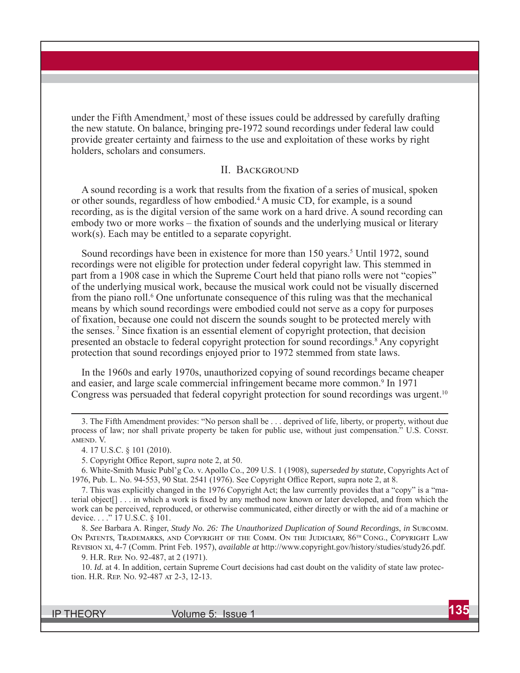under the Fifth Amendment, $3$  most of these issues could be addressed by carefully drafting the new statute. On balance, bringing pre-1972 sound recordings under federal law could provide greater certainty and fairness to the use and exploitation of these works by right holders, scholars and consumers.

#### II. BACKGROUND

A sound recording is a work that results from the fixation of a series of musical, spoken or other sounds, regardless of how embodied.<sup>4</sup> A music CD, for example, is a sound recording, as is the digital version of the same work on a hard drive. A sound recording can embody two or more works – the fixation of sounds and the underlying musical or literary work(s). Each may be entitled to a separate copyright.

Sound recordings have been in existence for more than 150 years.<sup>5</sup> Until 1972, sound recordings were not eligible for protection under federal copyright law. This stemmed in part from a 1908 case in which the Supreme Court held that piano rolls were not "copies" of the underlying musical work, because the musical work could not be visually discerned from the piano roll.<sup>6</sup> One unfortunate consequence of this ruling was that the mechanical means by which sound recordings were embodied could not serve as a copy for purposes of fi xation, because one could not discern the sounds sought to be protected merely with the senses.<sup>7</sup> Since fixation is an essential element of copyright protection, that decision presented an obstacle to federal copyright protection for sound recordings.<sup>8</sup> Any copyright protection that sound recordings enjoyed prior to 1972 stemmed from state laws.

In the 1960s and early 1970s, unauthorized copying of sound recordings became cheaper and easier, and large scale commercial infringement became more common.<sup>9</sup> In 1971 Congress was persuaded that federal copyright protection for sound recordings was urgent.10

5. Copyright Office Report, *supra* note 2, at 50.

6. White-Smith Music Publ'g Co. v. Apollo Co., 209 U.S. 1 (1908), *superseded by statute*, Copyrights Act of 1976, Pub. L. No. 94-553, 90 Stat. 2541 (1976). See Copyright Office Report, supra note 2, at 8.

7. This was explicitly changed in the 1976 Copyright Act; the law currently provides that a "copy" is a "material object<sup>[]</sup> . . . in which a work is fixed by any method now known or later developed, and from which the work can be perceived, reproduced, or otherwise communicated, either directly or with the aid of a machine or device. . . ." 17 U.S.C. § 101.

8. *See Barbara A. Ringer, <i>Study No. 26: The Unauthorized Duplication of Sound Recordings, in* SUBCOMM. ON PATENTS, TRADEMARKS, AND COPYRIGHT OF THE COMM. ON THE JUDICIARY,  $86^{th}$  Cong., COPYRIGHT LAW REVISION XI, 4-7 (Comm. Print Feb. 1957), *available at* http://www.copyright.gov/history/studies/study26.pdf.

9. H.R. REP. No. 92-487, at 2 (1971).

10. *Id.* at 4. In addition, certain Supreme Court decisions had cast doubt on the validity of state law protection. H.R. REP. No. 92-487 & 2-3, 12-13.

<sup>3.</sup> The Fifth Amendment provides: "No person shall be . . . deprived of life, liberty, or property, without due process of law; nor shall private property be taken for public use, without just compensation." U.S. CONST. AMEND. V.

<sup>4. 17</sup> U.S.C. § 101 (2010).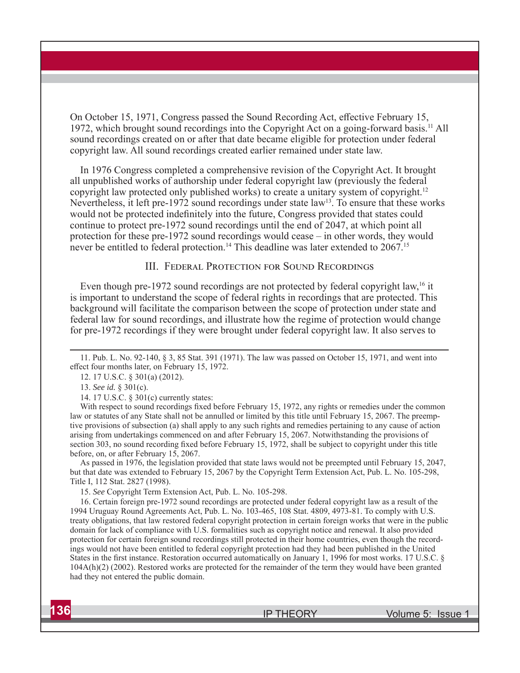On October 15, 1971, Congress passed the Sound Recording Act, effective February 15, 1972, which brought sound recordings into the Copyright Act on a going-forward basis.<sup>11</sup> All sound recordings created on or after that date became eligible for protection under federal copyright law. All sound recordings created earlier remained under state law.

In 1976 Congress completed a comprehensive revision of the Copyright Act. It brought all unpublished works of authorship under federal copyright law (previously the federal copyright law protected only published works) to create a unitary system of copyright.<sup>12</sup> Nevertheless, it left pre-1972 sound recordings under state law<sup>13</sup>. To ensure that these works would not be protected indefinitely into the future, Congress provided that states could continue to protect pre-1972 sound recordings until the end of 2047, at which point all protection for these pre-1972 sound recordings would cease – in other words, they would never be entitled to federal protection.<sup>14</sup> This deadline was later extended to 2067.<sup>15</sup>

#### III. FEDERAL PROTECTION FOR SOUND RECORDINGS

Even though pre-1972 sound recordings are not protected by federal copyright law, <sup>16</sup> it is important to understand the scope of federal rights in recordings that are protected. This background will facilitate the comparison between the scope of protection under state and federal law for sound recordings, and illustrate how the regime of protection would change for pre-1972 recordings if they were brought under federal copyright law. It also serves to

With respect to sound recordings fixed before February 15, 1972, any rights or remedies under the common law or statutes of any State shall not be annulled or limited by this title until February 15, 2067. The preemptive provisions of subsection (a) shall apply to any such rights and remedies pertaining to any cause of action arising from undertakings commenced on and after February 15, 2067. Notwithstanding the provisions of section 303, no sound recording fixed before February 15, 1972, shall be subject to copyright under this title before, on, or after February 15, 2067.

As passed in 1976, the legislation provided that state laws would not be preempted until February 15, 2047, but that date was extended to February 15, 2067 by the Copyright Term Extension Act, Pub. L. No. 105-298, Title I, 112 Stat. 2827 (1998).

15. *See* Copyright Term Extension Act, Pub. L. No. 105-298.

16. Certain foreign pre-1972 sound recordings are protected under federal copyright law as a result of the 1994 Uruguay Round Agreements Act, Pub. L. No. 103-465, 108 Stat. 4809, 4973-81. To comply with U.S. treaty obligations, that law restored federal copyright protection in certain foreign works that were in the public domain for lack of compliance with U.S. formalities such as copyright notice and renewal. It also provided protection for certain foreign sound recordings still protected in their home countries, even though the recordings would not have been entitled to federal copyright protection had they had been published in the United States in the first instance. Restoration occurred automatically on January 1, 1996 for most works. 17 U.S.C. § 104A(h)(2) (2002). Restored works are protected for the remainder of the term they would have been granted had they not entered the public domain.

<sup>11.</sup> Pub. L. No. 92-140, § 3, 85 Stat. 391 (1971). The law was passed on October 15, 1971, and went into effect four months later, on February 15, 1972.

<sup>12. 17</sup> U.S.C. § 301(a) (2012).

<sup>13.</sup> *See id.* § 301(c).

<sup>14. 17</sup> U.S.C. § 301(c) currently states: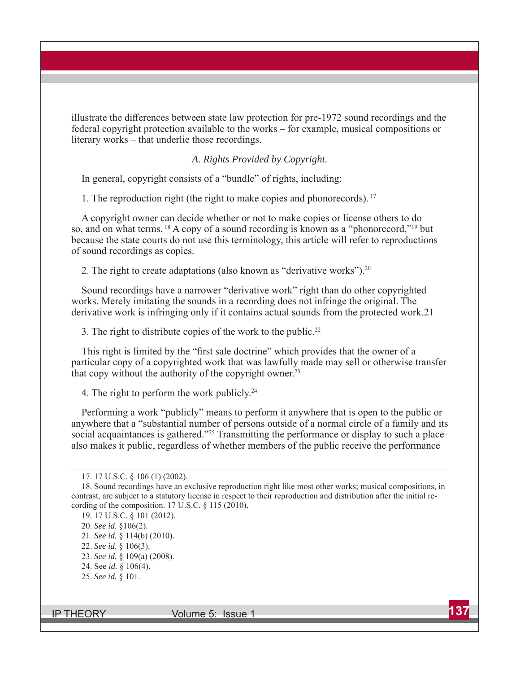illustrate the differences between state law protection for pre-1972 sound recordings and the federal copyright protection available to the works – for example, musical compositions or literary works – that underlie those recordings.

#### *A. Rights Provided by Copyright.*

In general, copyright consists of a "bundle" of rights, including:

1. The reproduction right (the right to make copies and phonorecords). 17

A copyright owner can decide whether or not to make copies or license others to do so, and on what terms. 18 A copy of a sound recording is known as a "phonorecord,"19 but because the state courts do not use this terminology, this article will refer to reproductions of sound recordings as copies.

2. The right to create adaptations (also known as "derivative works").<sup>20</sup>

Sound recordings have a narrower "derivative work" right than do other copyrighted works. Merely imitating the sounds in a recording does not infringe the original. The derivative work is infringing only if it contains actual sounds from the protected work.21

3. The right to distribute copies of the work to the public.<sup>22</sup>

This right is limited by the "first sale doctrine" which provides that the owner of a particular copy of a copyrighted work that was lawfully made may sell or otherwise transfer that copy without the authority of the copyright owner.<sup>23</sup>

4. The right to perform the work publicly.<sup>24</sup>

Performing a work "publicly" means to perform it anywhere that is open to the public or anywhere that a "substantial number of persons outside of a normal circle of a family and its social acquaintances is gathered."<sup>25</sup> Transmitting the performance or display to such a place also makes it public, regardless of whether members of the public receive the performance

<sup>17. 17</sup> U.S.C. § 106 (1) (2002).

<sup>18.</sup> Sound recordings have an exclusive reproduction right like most other works; musical compositions, in contrast, are subject to a statutory license in respect to their reproduction and distribution after the initial recording of the composition. 17 U.S.C. § 115 (2010).

<sup>19. 17</sup> U.S.C. § 101 (2012).

<sup>20.</sup> *See id.* §106(2).

<sup>21.</sup> *See id.* § 114(b) (2010).

<sup>22.</sup> *See id.* § 106(3).

<sup>23.</sup> *See id.* § 109(a) (2008).

<sup>24.</sup> See *id.* § 106(4).

<sup>25.</sup> *See id.* § 101.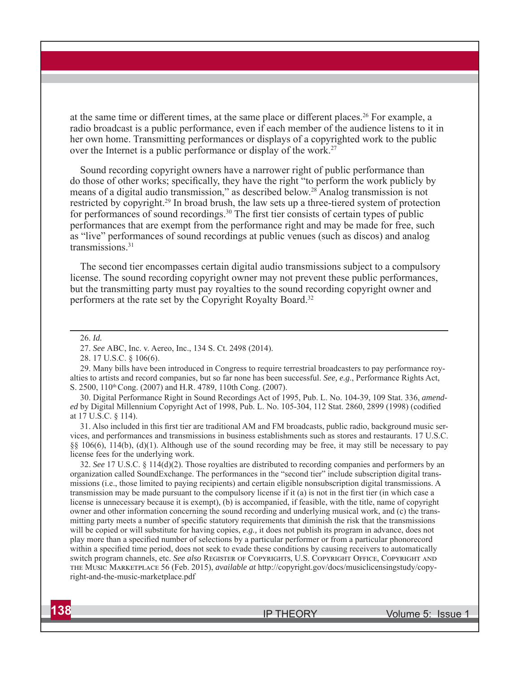at the same time or different times, at the same place or different places.<sup>26</sup> For example, a radio broadcast is a public performance, even if each member of the audience listens to it in her own home. Transmitting performances or displays of a copyrighted work to the public over the Internet is a public performance or display of the work.<sup>27</sup>

Sound recording copyright owners have a narrower right of public performance than do those of other works; specifically, they have the right "to perform the work publicly by means of a digital audio transmission," as described below.28 Analog transmission is not restricted by copyright.<sup>29</sup> In broad brush, the law sets up a three-tiered system of protection for performances of sound recordings.<sup>30</sup> The first tier consists of certain types of public performances that are exempt from the performance right and may be made for free, such as "live" performances of sound recordings at public venues (such as discos) and analog transmissions.31

The second tier encompasses certain digital audio transmissions subject to a compulsory license. The sound recording copyright owner may not prevent these public performances, but the transmitting party must pay royalties to the sound recording copyright owner and performers at the rate set by the Copyright Royalty Board.32

29. Many bills have been introduced in Congress to require terrestrial broadcasters to pay performance royalties to artists and record companies, but so far none has been successful. *See, e.g*., Performance Rights Act, S. 2500, 110<sup>th</sup> Cong. (2007) and H.R. 4789, 110th Cong. (2007).

30. Digital Performance Right in Sound Recordings Act of 1995, Pub. L. No. 104-39, 109 Stat. 336, *amended* by Digital Millennium Copyright Act of 1998, Pub. L. No. 105-304, 112 Stat. 2860, 2899 (1998) (codified at 17 U.S.C. § 114).

31. Also included in this first tier are traditional AM and FM broadcasts, public radio, background music services, and performances and transmissions in business establishments such as stores and restaurants. 17 U.S.C. §§ 106(6), 114(b), (d)(1). Although use of the sound recording may be free, it may still be necessary to pay license fees for the underlying work.

32. *See* 17 U.S.C. § 114(d)(2). Those royalties are distributed to recording companies and performers by an organization called SoundExchange. The performances in the "second tier" include subscription digital transmissions (i.e., those limited to paying recipients) and certain eligible nonsubscription digital transmissions. A transmission may be made pursuant to the compulsory license if it (a) is not in the first tier (in which case a license is unnecessary because it is exempt), (b) is accompanied, if feasible, with the title, name of copyright owner and other information concerning the sound recording and underlying musical work, and (c) the transmitting party meets a number of specific statutory requirements that diminish the risk that the transmissions will be copied or will substitute for having copies, *e.g.,* it does not publish its program in advance, does not play more than a specified number of selections by a particular performer or from a particular phonorecord within a specified time period, does not seek to evade these conditions by causing receivers to automatically switch program channels, etc. See also REGISTER OF COPYRIGHTS, U.S. COPYRIGHT OFFICE, COPYRIGHT AND THE MUSIC MARKETPLACE 56 (Feb. 2015), *available at* http://copyright.gov/docs/musiclicensingstudy/copyright-and-the-music-marketplace.pdf

<sup>26.</sup> *Id.*

<sup>27.</sup> *See* ABC, Inc. v. Aereo, Inc., 134 S. Ct. 2498 (2014).

<sup>28. 17</sup> U.S.C. § 106(6).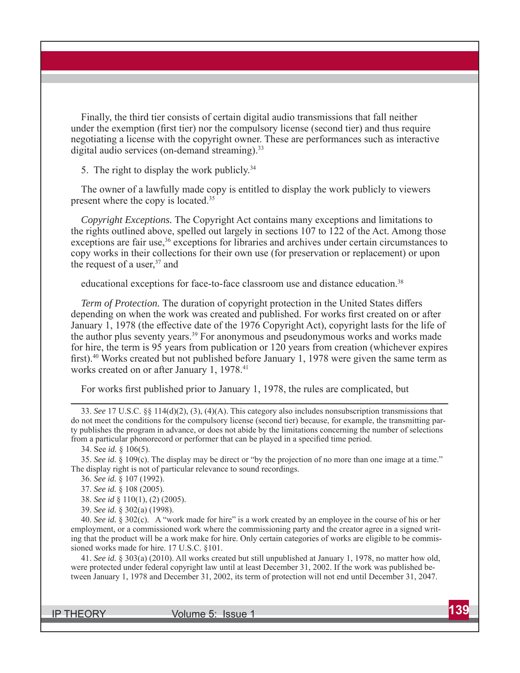Finally, the third tier consists of certain digital audio transmissions that fall neither under the exemption (first tier) nor the compulsory license (second tier) and thus require negotiating a license with the copyright owner. These are performances such as interactive digital audio services (on-demand streaming).<sup>33</sup>

5. The right to display the work publicly.<sup>34</sup>

The owner of a lawfully made copy is entitled to display the work publicly to viewers present where the copy is located.<sup>35</sup>

*Copyright Exceptions.* The Copyright Act contains many exceptions and limitations to the rights outlined above, spelled out largely in sections 107 to 122 of the Act. Among those exceptions are fair use,<sup>36</sup> exceptions for libraries and archives under certain circumstances to copy works in their collections for their own use (for preservation or replacement) or upon the request of a user, $37$  and

educational exceptions for face-to-face classroom use and distance education.<sup>38</sup>

*Term of Protection*. The duration of copyright protection in the United States differs depending on when the work was created and published. For works first created on or after January 1, 1978 (the effective date of the 1976 Copyright Act), copyright lasts for the life of the author plus seventy years.<sup>39</sup> For anonymous and pseudonymous works and works made for hire, the term is 95 years from publication or 120 years from creation (whichever expires first).<sup>40</sup> Works created but not published before January 1, 1978 were given the same term as works created on or after January 1, 1978.<sup>41</sup>

For works first published prior to January 1, 1978, the rules are complicated, but

33. *See* 17 U.S.C. §§ 114(d)(2), (3), (4)(A). This category also includes nonsubscription transmissions that do not meet the conditions for the compulsory license (second tier) because, for example, the transmitting party publishes the program in advance, or does not abide by the limitations concerning the number of selections from a particular phonorecord or performer that can be played in a specified time period.

34. See *id.* § 106(5).

35. *See id.* § 109(c). The display may be direct or "by the projection of no more than one image at a time." The display right is not of particular relevance to sound recordings.

36. *See id.* § 107 (1992).

37. *See id.* § 108 (2005).

38. *See id* § 110(1), (2) (2005).

39. *See id.* § 302(a) (1998).

40. *See id.* § 302(c). A "work made for hire" is a work created by an employee in the course of his or her employment, or a commissioned work where the commissioning party and the creator agree in a signed writing that the product will be a work make for hire. Only certain categories of works are eligible to be commissioned works made for hire. 17 U.S.C. §101.

41. *See id.* § 303(a) (2010). All works created but still unpublished at January 1, 1978, no matter how old, were protected under federal copyright law until at least December 31, 2002. If the work was published between January 1, 1978 and December 31, 2002, its term of protection will not end until December 31, 2047.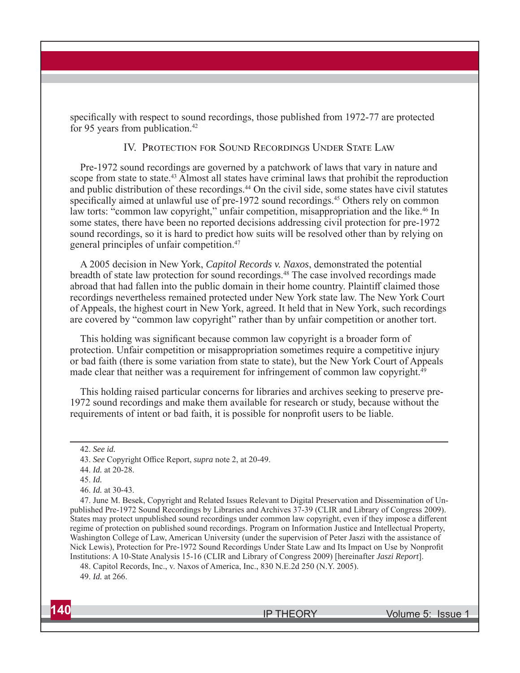specifically with respect to sound recordings, those published from 1972-77 are protected for 95 years from publication.<sup>42</sup>

#### IV. PROTECTION FOR SOUND RECORDINGS UNDER STATE LAW

Pre-1972 sound recordings are governed by a patchwork of laws that vary in nature and scope from state to state.<sup>43</sup> Almost all states have criminal laws that prohibit the reproduction and public distribution of these recordings.<sup>44</sup> On the civil side, some states have civil statutes specifically aimed at unlawful use of pre-1972 sound recordings.<sup>45</sup> Others rely on common law torts: "common law copyright," unfair competition, misappropriation and the like.<sup>46</sup> In some states, there have been no reported decisions addressing civil protection for pre-1972 sound recordings, so it is hard to predict how suits will be resolved other than by relying on general principles of unfair competition. 47

A 2005 decision in New York, *Capitol Records v. Naxos*, demonstrated the potential breadth of state law protection for sound recordings.48 The case involved recordings made abroad that had fallen into the public domain in their home country. Plaintiff claimed those recordings nevertheless remained protected under New York state law. The New York Court of Appeals, the highest court in New York, agreed. It held that in New York, such recordings are covered by "common law copyright" rather than by unfair competition or another tort.

This holding was significant because common law copyright is a broader form of protection. Unfair competition or misappropriation sometimes require a competitive injury or bad faith (there is some variation from state to state), but the New York Court of Appeals made clear that neither was a requirement for infringement of common law copyright.49

This holding raised particular concerns for libraries and archives seeking to preserve pre-1972 sound recordings and make them available for research or study, because without the requirements of intent or bad faith, it is possible for nonprofit users to be liable.

<sup>42.</sup> *See id.*

<sup>43.</sup> *See* Copyright Office Report, *supra* note 2, at 20-49.

<sup>44.</sup> *Id.* at 20-28.

<sup>45.</sup> *Id.*

<sup>46.</sup> *Id.* at 30-43.

<sup>47.</sup> June M. Besek, Copyright and Related Issues Relevant to Digital Preservation and Dissemination of Unpublished Pre-1972 Sound Recordings by Libraries and Archives 37-39 (CLIR and Library of Congress 2009). States may protect unpublished sound recordings under common law copyright, even if they impose a different regime of protection on published sound recordings. Program on Information Justice and Intellectual Property, Washington College of Law, American University (under the supervision of Peter Jaszi with the assistance of Nick Lewis), Protection for Pre-1972 Sound Recordings Under State Law and Its Impact on Use by Nonprofit Institutions: A 10-State Analysis 15-16 (CLIR and Library of Congress 2009) [hereinafter *Jaszi Report*].

<sup>48.</sup> Capitol Records, Inc., v. Naxos of America, Inc., 830 N.E.2d 250 (N.Y. 2005). 49. *Id.* at 266.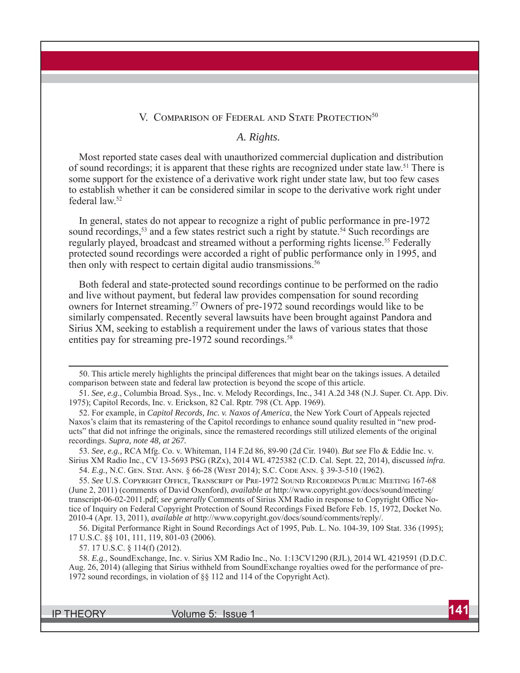#### V. COMPARISON OF FEDERAL AND STATE PROTECTION<sup>50</sup>

#### *A. Rights.*

Most reported state cases deal with unauthorized commercial duplication and distribution of sound recordings; it is apparent that these rights are recognized under state law.<sup>51</sup> There is some support for the existence of a derivative work right under state law, but too few cases to establish whether it can be considered similar in scope to the derivative work right under federal law.52

In general, states do not appear to recognize a right of public performance in pre-1972 sound recordings,<sup>53</sup> and a few states restrict such a right by statute.<sup>54</sup> Such recordings are regularly played, broadcast and streamed without a performing rights license.<sup>55</sup> Federally protected sound recordings were accorded a right of public performance only in 1995, and then only with respect to certain digital audio transmissions.<sup>56</sup>

Both federal and state-protected sound recordings continue to be performed on the radio and live without payment, but federal law provides compensation for sound recording owners for Internet streaming.57 Owners of pre-1972 sound recordings would like to be similarly compensated. Recently several lawsuits have been brought against Pandora and Sirius XM, seeking to establish a requirement under the laws of various states that those entities pay for streaming pre-1972 sound recordings.<sup>58</sup>

53. *See, e.g.,* RCA Mfg. Co. v. Whiteman, 114 F.2d 86, 89-90 (2d Cir. 1940). *But see* Flo & Eddie Inc. v. Sirius XM Radio Inc., CV 13-5693 PSG (RZx), 2014 WL 4725382 (C.D. Cal. Sept. 22, 2014), discussed *infra*. 54. *E.g.*, N.C. Gen. Stat. Ann. § 66-28 (West 2014); S.C. Code Ann. § 39-3-510 (1962).

55. See U.S. COPYRIGHT OFFICE, TRANSCRIPT OF PRE-1972 SOUND RECORDINGS PUBLIC MEETING 167-68 (June 2, 2011) (comments of David Oxenford), *available at* http://www.copyright.gov/docs/sound/meeting/ transcript-06-02-2011.pdf; see generally Comments of Sirius XM Radio in response to Copyright Office Notice of Inquiry on Federal Copyright Protection of Sound Recordings Fixed Before Feb. 15, 1972, Docket No. 2010-4 (Apr. 13, 2011), *available at* http://www.copyright.gov/docs/sound/comments/reply/.

56. Digital Performance Right in Sound Recordings Act of 1995, Pub. L. No. 104-39, 109 Stat. 336 (1995); 17 U.S.C. §§ 101, 111, 119, 801-03 (2006).

57. 17 U.S.C. § 114(f) (2012).

58. *E.g.,* SoundExchange, Inc. v. Sirius XM Radio Inc., No. 1:13CV1290 (RJL), 2014 WL 4219591 (D.D.C. Aug. 26, 2014) (alleging that Sirius withheld from SoundExchange royalties owed for the performance of pre-1972 sound recordings, in violation of §§ 112 and 114 of the Copyright Act).

<sup>50.</sup> This article merely highlights the principal differences that might bear on the takings issues. A detailed comparison between state and federal law protection is beyond the scope of this article.

<sup>51.</sup> *See, e.g*., Columbia Broad. Sys., Inc. v. Melody Recordings, Inc., 341 A.2d 348 (N.J. Super. Ct. App. Div. 1975); Capitol Records, Inc. v. Erickson, 82 Cal. Rptr. 798 (Ct. App. 1969).

<sup>52.</sup> For example, in *Capitol Records, Inc. v. Naxos of America*, the New York Court of Appeals rejected Naxos's claim that its remastering of the Capitol recordings to enhance sound quality resulted in "new products" that did not infringe the originals, since the remastered recordings still utilized elements of the original recordings. *Supra, note 48, at 267.*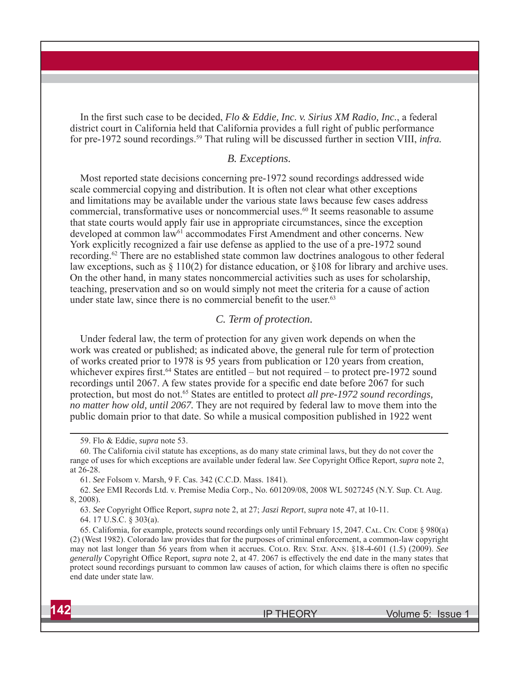In the first such case to be decided, *Flo & Eddie, Inc. v. Sirius XM Radio, Inc.*, a federal district court in California held that California provides a full right of public performance for pre-1972 sound recordings.<sup>59</sup> That ruling will be discussed further in section VIII, *infra*.

# *B. Exceptions.*

Most reported state decisions concerning pre-1972 sound recordings addressed wide scale commercial copying and distribution. It is often not clear what other exceptions and limitations may be available under the various state laws because few cases address commercial, transformative uses or noncommercial uses.<sup>60</sup> It seems reasonable to assume that state courts would apply fair use in appropriate circumstances, since the exception developed at common law<sup>61</sup> accommodates First Amendment and other concerns. New York explicitly recognized a fair use defense as applied to the use of a pre-1972 sound recording.62 There are no established state common law doctrines analogous to other federal law exceptions, such as  $\S 110(2)$  for distance education, or  $\S 108$  for library and archive uses. On the other hand, in many states noncommercial activities such as uses for scholarship, teaching, preservation and so on would simply not meet the criteria for a cause of action under state law, since there is no commercial benefit to the user. $63$ 

### *C. Term of protection.*

Under federal law, the term of protection for any given work depends on when the work was created or published; as indicated above, the general rule for term of protection of works created prior to 1978 is 95 years from publication or 120 years from creation, whichever expires first.<sup>64</sup> States are entitled – but not required – to protect pre-1972 sound recordings until 2067. A few states provide for a specific end date before 2067 for such protection, but most do not.<sup>65</sup> States are entitled to protect *all pre-1972 sound recordings*, *no matter how old, until 2067.* They are not required by federal law to move them into the public domain prior to that date. So while a musical composition published in 1922 went

<sup>59.</sup> Flo & Eddie, *supra* note 53.

<sup>60.</sup> The California civil statute has exceptions, as do many state criminal laws, but they do not cover the range of uses for which exceptions are available under federal law. *See* Copyright Office Report, *supra* note 2, at 26-28.

<sup>61.</sup> *See* Folsom v. Marsh, 9 F. Cas. 342 (C.C.D. Mass. 1841).

<sup>62.</sup> *See* EMI Records Ltd. v. Premise Media Corp., No. 601209/08, 2008 WL 5027245 (N.Y. Sup. Ct. Aug. 8, 2008).

<sup>63.</sup> See Copyright Office Report, *supra* note 2, at 27; *Jaszi Report*, *supra* note 47, at 10-11.

<sup>64. 17</sup> U.S.C. § 303(a).

<sup>65.</sup> California, for example, protects sound recordings only until February 15, 2047. CAL. CIV. CODE § 980(a) (2) (West 1982). Colorado law provides that for the purposes of criminal enforcement, a common-law copyright may not last longer than 56 years from when it accrues. Colo. REV. STAT. ANN. §18-4-601 (1.5) (2009). See *generally* Copyright Office Report, *supra* note 2, at 47. 2067 is effectively the end date in the many states that protect sound recordings pursuant to common law causes of action, for which claims there is often no specific end date under state law.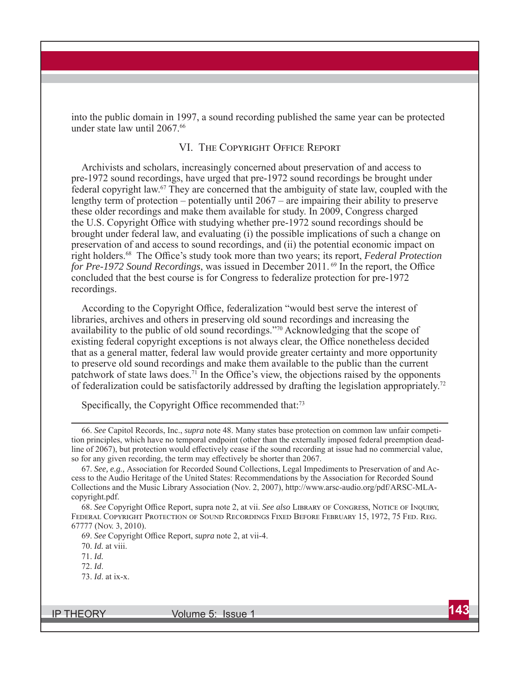into the public domain in 1997, a sound recording published the same year can be protected under state law until 2067.66

#### VI. THE COPYRIGHT OFFICE REPORT

Archivists and scholars, increasingly concerned about preservation of and access to pre-1972 sound recordings, have urged that pre-1972 sound recordings be brought under federal copyright law.67 They are concerned that the ambiguity of state law, coupled with the lengthy term of protection – potentially until 2067 – are impairing their ability to preserve these older recordings and make them available for study. In 2009, Congress charged the U.S. Copyright Office with studying whether pre-1972 sound recordings should be brought under federal law, and evaluating (i) the possible implications of such a change on preservation of and access to sound recordings, and (ii) the potential economic impact on right holders.<sup>68</sup> The Office's study took more than two years; its report, *Federal Protection for Pre-1972 Sound Recordings*, was issued in December 2011.<sup>69</sup> In the report, the Office concluded that the best course is for Congress to federalize protection for pre-1972 recordings.

According to the Copyright Office, federalization "would best serve the interest of libraries, archives and others in preserving old sound recordings and increasing the availability to the public of old sound recordings."70 Acknowledging that the scope of existing federal copyright exceptions is not always clear, the Office nonetheless decided that as a general matter, federal law would provide greater certainty and more opportunity to preserve old sound recordings and make them available to the public than the current patchwork of state laws does.<sup>71</sup> In the Office's view, the objections raised by the opponents of federalization could be satisfactorily addressed by drafting the legislation appropriately.<sup>72</sup>

Specifically, the Copyright Office recommended that: $73$ 

70. *Id.* at viii.

71. *Id.*

- 72. *Id*.
- 73. *Id*. at ix-x.

<sup>66.</sup> *See* Capitol Records, Inc., *supra* note 48. Many states base protection on common law unfair competition principles, which have no temporal endpoint (other than the externally imposed federal preemption deadline of 2067), but protection would effectively cease if the sound recording at issue had no commercial value, so for any given recording, the term may effectively be shorter than 2067.

<sup>67.</sup> *See, e.g.,* Association for Recorded Sound Collections, Legal Impediments to Preservation of and Access to the Audio Heritage of the United States: Recommendations by the Association for Recorded Sound Collections and the Music Library Association (Nov. 2, 2007), http://www.arsc-audio.org/pdf/ARSC-MLAcopyright.pdf.

<sup>68.</sup> See Copyright Office Report, supra note 2, at vii. *See also* LIBRARY OF CONGRESS, NOTICE OF INQUIRY, FEDERAL COPYRIGHT PROTECTION OF SOUND RECORDINGS FIXED BEFORE FEBRUARY 15, 1972, 75 FED. REG. 67777 (Nov. 3, 2010).

<sup>69.</sup> *See* Copyright Office Report, *supra* note 2, at vii-4.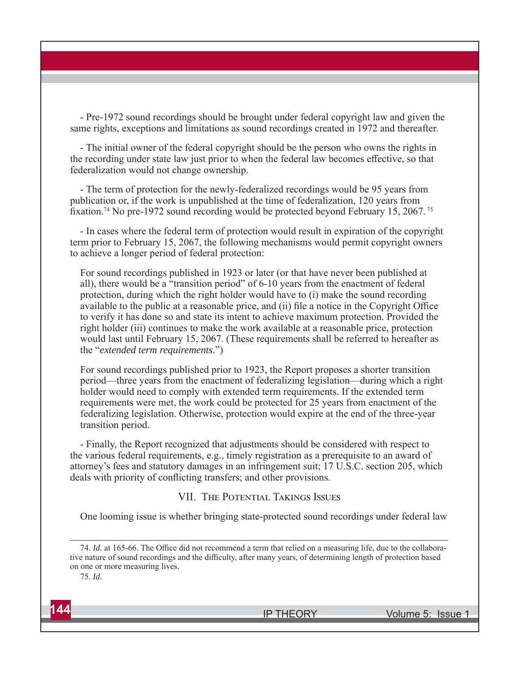- Pre-1972 sound recordings should be brought under federal copyright law and given the same rights, exceptions and limitations as sound recordings created in 1972 and thereafter.

- The initial owner of the federal copyright should be the person who owns the rights in the recording under state law just prior to when the federal law becomes effective, so that federalization would not change ownership.

- The term of protection for the newly-federalized recordings would be 95 years from publication or, if the work is unpublished at the time of federalization, 120 years from fixation.<sup>74</sup> No pre-1972 sound recording would be protected beyond February 15, 2067.<sup>75</sup>

- In cases where the federal term of protection would result in expiration of the copyright term prior to February 15, 2067, the following mechanisms would permit copyright owners to achieve a longer period of federal protection:

For sound recordings published in 1923 or later (or that have never been published at all), there would be a "transition period" of 6-10 years from the enactment of federal protection, during which the right holder would have to (i) make the sound recording available to the public at a reasonable price, and (ii) file a notice in the Copyright Office to verify it has done so and state its intent to achieve maximum protection. Provided the right holder (iii) continues to make the work available at a reasonable price, protection would last until February 15, 2067. (These requirements shall be referred to hereafter as the "*extended term requirements*.")

For sound recordings published prior to 1923, the Report proposes a shorter transition period—three years from the enactment of federalizing legislation—during which a right holder would need to comply with extended term requirements. If the extended term requirements were met, the work could be protected for 25 years from enactment of the federalizing legislation. Otherwise, protection would expire at the end of the three-year transition period.

- Finally, the Report recognized that adjustments should be considered with respect to the various federal requirements, e.g., timely registration as a prerequisite to an award of attorney's fees and statutory damages in an infringement suit; 17 U.S.C. section 205, which deals with priority of conflicting transfers; and other provisions.

# VII. THE POTENTIAL TAKINGS ISSUES

One looming issue is whether bringing state-protected sound recordings under federal law

<sup>74.</sup> *Id.* at 165-66. The Office did not recommend a term that relied on a measuring life, due to the collaborative nature of sound recordings and the difficulty, after many years, of determining length of protection based on one or more measuring lives.

<sup>75.</sup> *Id.*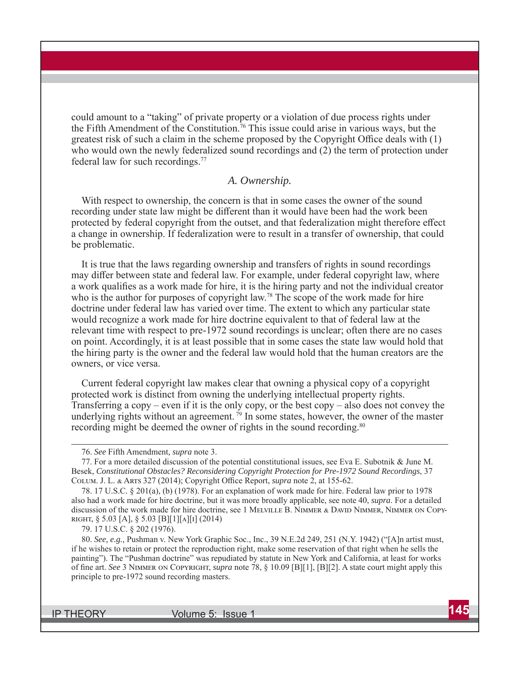could amount to a "taking" of private property or a violation of due process rights under the Fifth Amendment of the Constitution.<sup>76</sup> This issue could arise in various ways, but the greatest risk of such a claim in the scheme proposed by the Copyright Office deals with  $(1)$ who would own the newly federalized sound recordings and (2) the term of protection under federal law for such recordings. 77

#### *A. Ownership.*

With respect to ownership, the concern is that in some cases the owner of the sound recording under state law might be different than it would have been had the work been protected by federal copyright from the outset, and that federalization might therefore effect a change in ownership. If federalization were to result in a transfer of ownership, that could be problematic.

It is true that the laws regarding ownership and transfers of rights in sound recordings may differ between state and federal law. For example, under federal copyright law, where a work qualifies as a work made for hire, it is the hiring party and not the individual creator who is the author for purposes of copyright law.<sup>78</sup> The scope of the work made for hire doctrine under federal law has varied over time. The extent to which any particular state would recognize a work made for hire doctrine equivalent to that of federal law at the relevant time with respect to pre-1972 sound recordings is unclear; often there are no cases on point. Accordingly, it is at least possible that in some cases the state law would hold that the hiring party is the owner and the federal law would hold that the human creators are the owners, or vice versa.

Current federal copyright law makes clear that owning a physical copy of a copyright protected work is distinct from owning the underlying intellectual property rights. Transferring a copy – even if it is the only copy, or the best copy – also does not convey the underlying rights without an agreement.<sup>79</sup> In some states, however, the owner of the master recording might be deemed the owner of rights in the sound recording.<sup>80</sup>

<sup>76.</sup> *See* Fifth Amendment*, supra* note 3.

<sup>77.</sup> For a more detailed discussion of the potential constitutional issues, see Eva E. Subotnik & June M. Besek, *Constitutional Obstacles? Reconsidering Copyright Protection for Pre-1972 Sound Recordings*, 37 COLUM. J. L. & ARTS 327 (2014); Copyright Office Report, *supra* note 2, at 155-62.

<sup>78. 17</sup> U.S.C. § 201(a), (b) (1978). For an explanation of work made for hire. Federal law prior to 1978 also had a work made for hire doctrine, but it was more broadly applicable, see note 40, *supra*. For a detailed discussion of the work made for hire doctrine, see 1 MELVILLE B. NIMMER & DAVID NIMMER, NIMMER ON COPY-RIGHT,  $\S$  5.03 [A],  $\S$  5.03 [B][1][A][I] (2014)

<sup>79. 17</sup> U.S.C. § 202 (1976).

<sup>80.</sup> *See, e.g.,* Pushman v. New York Graphic Soc., Inc., 39 N.E.2d 249, 251 (N.Y. 1942) ("[A]n artist must, if he wishes to retain or protect the reproduction right, make some reservation of that right when he sells the painting"). The "Pushman doctrine" was repudiated by statute in New York and California, at least for works of fine art. *See* 3 NIMMER ON COPYRIGHT, *supra* note 78, § 10.09 [B][1], [B][2]. A state court might apply this principle to pre-1972 sound recording masters.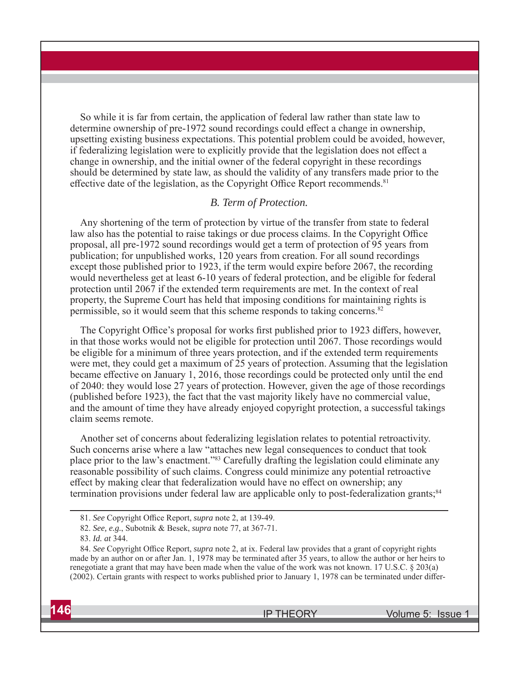So while it is far from certain, the application of federal law rather than state law to determine ownership of pre-1972 sound recordings could effect a change in ownership, upsetting existing business expectations. This potential problem could be avoided, however, if federalizing legislation were to explicitly provide that the legislation does not effect a change in ownership, and the initial owner of the federal copyright in these recordings should be determined by state law, as should the validity of any transfers made prior to the effective date of the legislation, as the Copyright Office Report recommends.<sup>81</sup>

#### *B. Term of Protection.*

Any shortening of the term of protection by virtue of the transfer from state to federal law also has the potential to raise takings or due process claims. In the Copyright Office proposal, all pre-1972 sound recordings would get a term of protection of 95 years from publication; for unpublished works, 120 years from creation. For all sound recordings except those published prior to 1923, if the term would expire before 2067, the recording would nevertheless get at least 6-10 years of federal protection, and be eligible for federal protection until 2067 if the extended term requirements are met. In the context of real property, the Supreme Court has held that imposing conditions for maintaining rights is permissible, so it would seem that this scheme responds to taking concerns.82

The Copyright Office's proposal for works first published prior to 1923 differs, however, in that those works would not be eligible for protection until 2067. Those recordings would be eligible for a minimum of three years protection, and if the extended term requirements were met, they could get a maximum of 25 years of protection. Assuming that the legislation became effective on January 1, 2016, those recordings could be protected only until the end of 2040: they would lose 27 years of protection. However, given the age of those recordings (published before 1923), the fact that the vast majority likely have no commercial value, and the amount of time they have already enjoyed copyright protection, a successful takings claim seems remote.

Another set of concerns about federalizing legislation relates to potential retroactivity. Such concerns arise where a law "attaches new legal consequences to conduct that took place prior to the law's enactment."83 Carefully drafting the legislation could eliminate any reasonable possibility of such claims. Congress could minimize any potential retroactive effect by making clear that federalization would have no effect on ownership; any termination provisions under federal law are applicable only to post-federalization grants;<sup>84</sup>

<sup>84.</sup> See Copyright Office Report, *supra* note 2, at ix. Federal law provides that a grant of copyright rights made by an author on or after Jan. 1, 1978 may be terminated after 35 years, to allow the author or her heirs to renegotiate a grant that may have been made when the value of the work was not known. 17 U.S.C. § 203(a)  $(2002)$ . Certain grants with respect to works published prior to January 1, 1978 can be terminated under differ-



<sup>81.</sup> *See* Copyright Office Report, *supra* note 2, at 139-49.

<sup>82.</sup> *See, e.g.*, Subotnik & Besek, *supra* note 77, at 367-71.

<sup>83.</sup> *Id. at* 344.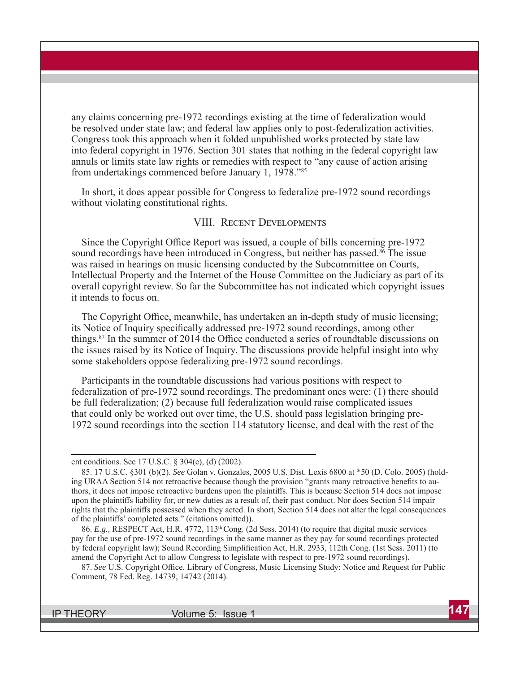any claims concerning pre-1972 recordings existing at the time of federalization would be resolved under state law; and federal law applies only to post-federalization activities. Congress took this approach when it folded unpublished works protected by state law into federal copyright in 1976. Section 301 states that nothing in the federal copyright law annuls or limits state law rights or remedies with respect to "any cause of action arising from undertakings commenced before January 1, 1978."85

In short, it does appear possible for Congress to federalize pre-1972 sound recordings without violating constitutional rights.

## VIII. RECENT DEVELOPMENTS

Since the Copyright Office Report was issued, a couple of bills concerning pre-1972 sound recordings have been introduced in Congress, but neither has passed.<sup>86</sup> The issue was raised in hearings on music licensing conducted by the Subcommittee on Courts, Intellectual Property and the Internet of the House Committee on the Judiciary as part of its overall copyright review. So far the Subcommittee has not indicated which copyright issues it intends to focus on.

The Copyright Office, meanwhile, has undertaken an in-depth study of music licensing; its Notice of Inquiry specifically addressed pre-1972 sound recordings, among other things.<sup>87</sup> In the summer of 2014 the Office conducted a series of roundtable discussions on the issues raised by its Notice of Inquiry. The discussions provide helpful insight into why some stakeholders oppose federalizing pre-1972 sound recordings.

Participants in the roundtable discussions had various positions with respect to federalization of pre-1972 sound recordings. The predominant ones were: (1) there should be full federalization; (2) because full federalization would raise complicated issues that could only be worked out over time, the U.S. should pass legislation bringing pre-1972 sound recordings into the section 114 statutory license, and deal with the rest of the

ent conditions. See 17 U.S.C. § 304(c), (d) (2002).

<sup>85. 17</sup> U.S.C. §301 (b)(2). *See* Golan v. Gonzales, 2005 U.S. Dist. Lexis 6800 at \*50 (D. Colo. 2005) (holding URAA Section 514 not retroactive because though the provision "grants many retroactive benefits to authors, it does not impose retroactive burdens upon the plaintiffs. This is because Section 514 does not impose upon the plaintiffs liability for, or new duties as a result of, their past conduct. Nor does Section 514 impair rights that the plaintiffs possessed when they acted. In short, Section 514 does not alter the legal consequences of the plaintiffs' completed acts." (citations omitted)).

<sup>86.</sup> *E.g.,* RESPECT Act, H.R. 4772, 113th Cong. (2d Sess. 2014) (to require that digital music services pay for the use of pre-1972 sound recordings in the same manner as they pay for sound recordings protected by federal copyright law); Sound Recording Simplification Act, H.R. 2933, 112th Cong. (1st Sess. 2011) (to amend the Copyright Act to allow Congress to legislate with respect to pre-1972 sound recordings).

<sup>87.</sup> See U.S. Copyright Office, Library of Congress, Music Licensing Study: Notice and Request for Public Comment, 78 Fed. Reg. 14739, 14742 (2014).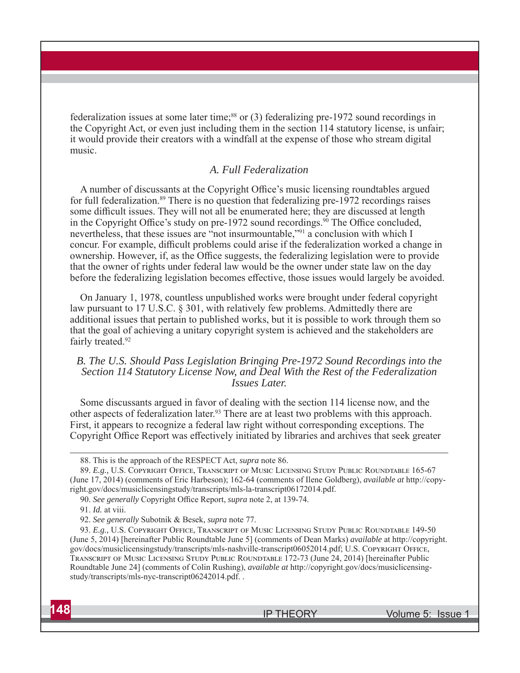federalization issues at some later time;<sup>88</sup> or  $(3)$  federalizing pre-1972 sound recordings in the Copyright Act, or even just including them in the section 114 statutory license, is unfair; it would provide their creators with a windfall at the expense of those who stream digital music.

### *A. Full Federalization*

A number of discussants at the Copyright Office's music licensing roundtables argued for full federalization.<sup>89</sup> There is no question that federalizing pre-1972 recordings raises some difficult issues. They will not all be enumerated here; they are discussed at length in the Copyright Office's study on pre-1972 sound recordings.<sup>90</sup> The Office concluded, nevertheless, that these issues are "not insurmountable,"91 a conclusion with which I concur. For example, difficult problems could arise if the federalization worked a change in ownership. However, if, as the Office suggests, the federalizing legislation were to provide that the owner of rights under federal law would be the owner under state law on the day before the federalizing legislation becomes effective, those issues would largely be avoided.

On January 1, 1978, countless unpublished works were brought under federal copyright law pursuant to 17 U.S.C. § 301, with relatively few problems. Admittedly there are additional issues that pertain to published works, but it is possible to work through them so that the goal of achieving a unitary copyright system is achieved and the stakeholders are fairly treated.<sup>92</sup>

#### *B. The U.S. Should Pass Legislation Bringing Pre-1972 Sound Recordings into the Section 114 Statutory License Now, and Deal With the Rest of the Federalization Issues Later.*

Some discussants argued in favor of dealing with the section 114 license now, and the other aspects of federalization later.<sup>93</sup> There are at least two problems with this approach. First, it appears to recognize a federal law right without corresponding exceptions. The Copyright Office Report was effectively initiated by libraries and archives that seek greater

90. See generally Copyright Office Report, *supra* note 2, at 139-74.

<sup>88.</sup> This is the approach of the RESPECT Act, *supra* note 86.

<sup>89.</sup> *E.g.*, U.S. COPYRIGHT OFFICE, TRANSCRIPT OF MUSIC LICENSING STUDY PUBLIC ROUNDTABLE 165-67 (June 17, 2014) (comments of Eric Harbeson); 162-64 (comments of Ilene Goldberg), *available at* http://copyright.gov/docs/musiclicensingstudy/transcripts/mls-la-transcript06172014.pdf.

<sup>91.</sup> *Id.* at viii.

<sup>92.</sup> *See generally* Subotnik & Besek, *supra* note 77.

<sup>93.</sup> *E.g.*, U.S. COPYRIGHT OFFICE, TRANSCRIPT OF MUSIC LICENSING STUDY PUBLIC ROUNDTABLE 149-50 (June 5, 2014) [hereinafter Public Roundtable June 5] (comments of Dean Marks) *available* at http://copyright. gov/docs/musiclicensingstudy/transcripts/mls-nashville-transcript06052014.pdf; U.S. COPYRIGHT OFFICE, TRANSCRIPT OF MUSIC LICENSING STUDY PUBLIC ROUNDTABLE 172-73 (June 24, 2014) [hereinafter Public Roundtable June 24] (comments of Colin Rushing), *available at* http://copyright.gov/docs/musiclicensingstudy/transcripts/mls-nyc-transcript06242014.pdf. .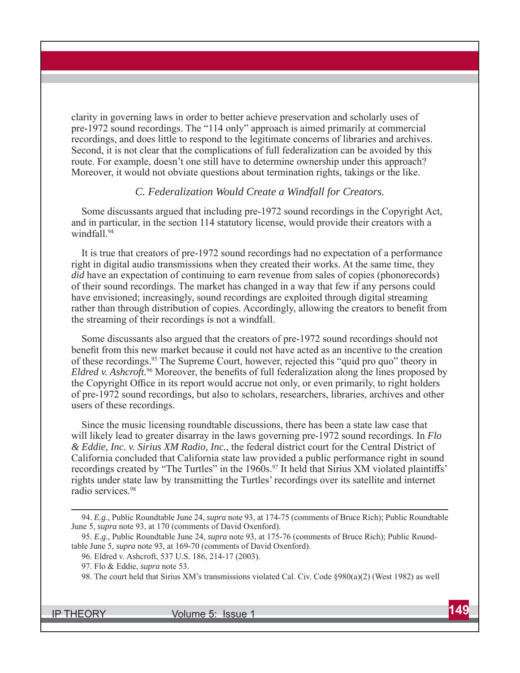clarity in governing laws in order to better achieve preservation and scholarly uses of pre-1972 sound recordings. The "114 only" approach is aimed primarily at commercial recordings, and does little to respond to the legitimate concerns of libraries and archives. Second, it is not clear that the complications of full federalization can be avoided by this route. For example, doesn't one still have to determine ownership under this approach? Moreover, it would not obviate questions about termination rights, takings or the like.

#### *C. Federalization Would Create a Windfall for Creators.*

Some discussants argued that including pre-1972 sound recordings in the Copyright Act, and in particular, in the section 114 statutory license, would provide their creators with a windfall.94

It is true that creators of pre-1972 sound recordings had no expectation of a performance right in digital audio transmissions when they created their works. At the same time, they *did* have an expectation of continuing to earn revenue from sales of copies (phonorecords) of their sound recordings. The market has changed in a way that few if any persons could have envisioned; increasingly, sound recordings are exploited through digital streaming rather than through distribution of copies. Accordingly, allowing the creators to benefit from the streaming of their recordings is not a windfall.

Some discussants also argued that the creators of pre-1972 sound recordings should not benefit from this new market because it could not have acted as an incentive to the creation of these recordings.95 The Supreme Court, however, rejected this "quid pro quo" theory in *Eldred v. Ashcroft.*<sup>96</sup> Moreover, the benefits of full federalization along the lines proposed by the Copyright Office in its report would accrue not only, or even primarily, to right holders of pre-1972 sound recordings, but also to scholars, researchers, libraries, archives and other users of these recordings.

Since the music licensing roundtable discussions, there has been a state law case that will likely lead to greater disarray in the laws governing pre-1972 sound recordings. In *Flo & Eddie, Inc. v. Sirius XM Radio, Inc.*, the federal district court for the Central District of California concluded that California state law provided a public performance right in sound recordings created by "The Turtles" in the 1960s.<sup>97</sup> It held that Sirius XM violated plaintiffs' rights under state law by transmitting the Turtles' recordings over its satellite and internet radio services.98

<sup>94.</sup> *E.g.,* Public Roundtable June 24, *supra* note 93, at 174-75 (comments of Bruce Rich); Public Roundtable June 5, *supra* note 93, at 170 (comments of David Oxenford).

<sup>95.</sup> *E.g.,* Public Roundtable June 24, *supra* note 93, at 175-76 (comments of Bruce Rich); Public Roundtable June 5, *supra* note 93, at 169-70 (comments of David Oxenford).

<sup>96.</sup> Eldred v. Ashcroft, 537 U.S. 186, 214-17 (2003).

<sup>97.</sup> Flo & Eddie, *supra* note 53.

<sup>98.</sup> The court held that Sirius XM's transmissions violated Cal. Civ. Code §980(a)(2) (West 1982) as well